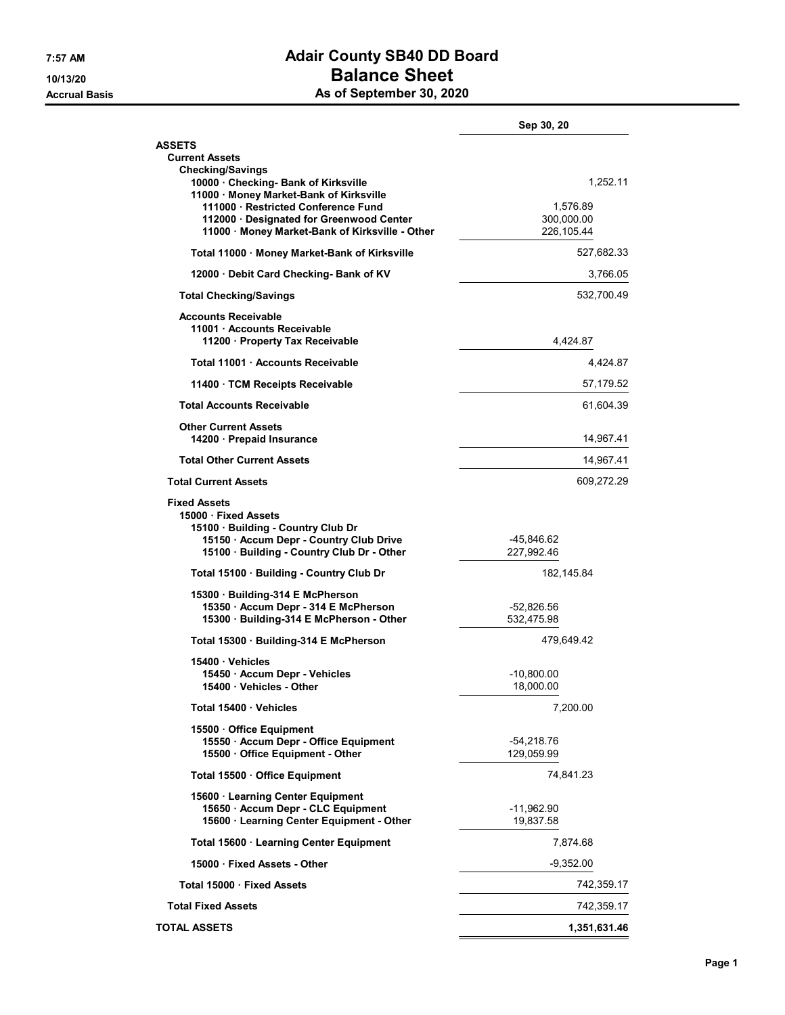## 7:57 AM Adair County SB40 DD Board 10/13/20 **Balance Sheet**

Accrual Basis **As of September 30, 2020** 

|                                                                                                                                                                        | Sep 30, 20                 |                                      |  |
|------------------------------------------------------------------------------------------------------------------------------------------------------------------------|----------------------------|--------------------------------------|--|
| <b>ASSETS</b><br><b>Current Assets</b>                                                                                                                                 |                            |                                      |  |
| <b>Checking/Savings</b><br>10000 · Checking- Bank of Kirksville<br>11000 · Money Market-Bank of Kirksville                                                             |                            | 1,252.11                             |  |
| 111000 Restricted Conference Fund<br>112000 · Designated for Greenwood Center<br>11000 · Money Market-Bank of Kirksville - Other                                       |                            | 1,576.89<br>300,000.00<br>226,105.44 |  |
| Total 11000 · Money Market-Bank of Kirksville                                                                                                                          | 527,682.33                 |                                      |  |
| 12000 Debit Card Checking- Bank of KV                                                                                                                                  | 3,766.05                   |                                      |  |
| <b>Total Checking/Savings</b>                                                                                                                                          | 532,700.49                 |                                      |  |
| <b>Accounts Receivable</b><br>11001 · Accounts Receivable<br>11200 · Property Tax Receivable                                                                           | 4,424.87                   |                                      |  |
| Total 11001 Accounts Receivable                                                                                                                                        |                            | 4,424.87                             |  |
| 11400 TCM Receipts Receivable                                                                                                                                          | 57,179.52                  |                                      |  |
| <b>Total Accounts Receivable</b>                                                                                                                                       |                            | 61,604.39                            |  |
| <b>Other Current Assets</b><br>14200 · Prepaid Insurance                                                                                                               | 14,967.41                  |                                      |  |
| <b>Total Other Current Assets</b>                                                                                                                                      | 14,967.41                  |                                      |  |
| <b>Total Current Assets</b>                                                                                                                                            | 609,272.29                 |                                      |  |
| <b>Fixed Assets</b><br>15000 Fixed Assets<br>15100 Building - Country Club Dr<br>15150 · Accum Depr - Country Club Drive<br>15100 · Building - Country Club Dr - Other | -45,846.62<br>227,992.46   |                                      |  |
| Total 15100 Building - Country Club Dr                                                                                                                                 | 182,145.84                 |                                      |  |
| 15300 Building-314 E McPherson                                                                                                                                         |                            |                                      |  |
| 15350 · Accum Depr - 314 E McPherson<br>15300 · Building-314 E McPherson - Other                                                                                       | -52,826.56<br>532,475.98   |                                      |  |
| Total 15300 · Building-314 E McPherson                                                                                                                                 | 479,649.42                 |                                      |  |
| 15400 Vehicles<br>15450 · Accum Depr - Vehicles<br>15400 · Vehicles - Other                                                                                            | -10,800.00<br>18,000.00    |                                      |  |
| Total 15400 Vehicles                                                                                                                                                   | 7,200.00                   |                                      |  |
| 15500 Office Equipment                                                                                                                                                 |                            |                                      |  |
| 15550 · Accum Depr - Office Equipment<br>15500 Office Equipment - Other                                                                                                | $-54,218.76$<br>129,059.99 |                                      |  |
| Total 15500 Office Equipment                                                                                                                                           | 74,841.23                  |                                      |  |
| 15600 · Learning Center Equipment<br>15650 · Accum Depr - CLC Equipment<br>15600 · Learning Center Equipment - Other                                                   | -11,962.90<br>19,837.58    |                                      |  |
| Total 15600 · Learning Center Equipment                                                                                                                                |                            | 7,874.68                             |  |
| 15000 Fixed Assets - Other                                                                                                                                             | $-9,352.00$                |                                      |  |
| Total 15000 · Fixed Assets                                                                                                                                             | 742,359.17                 |                                      |  |
| <b>Total Fixed Assets</b>                                                                                                                                              | 742,359.17                 |                                      |  |
| <b>TOTAL ASSETS</b>                                                                                                                                                    | 1,351,631.46               |                                      |  |